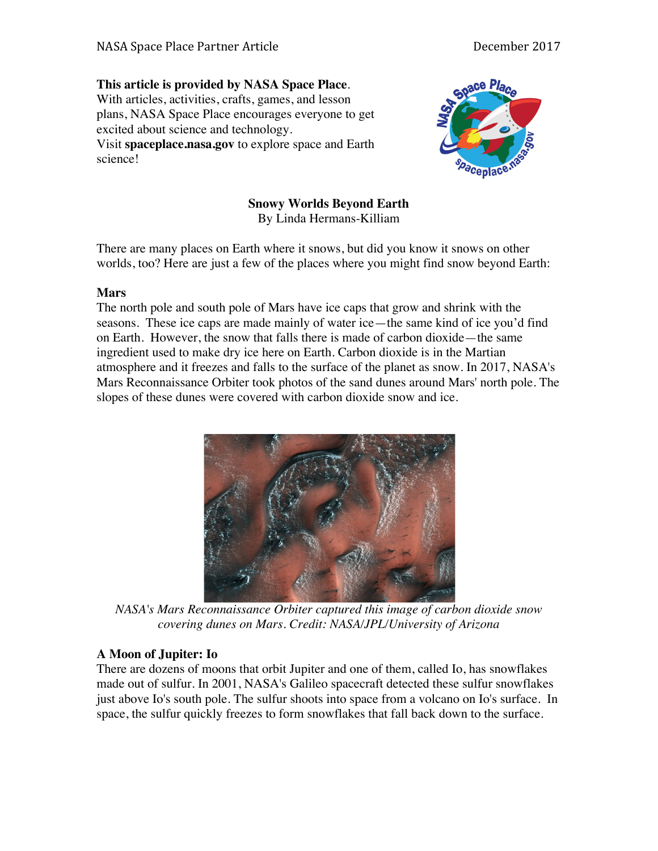# **This article is provided by NASA Space Place**.

With articles, activities, crafts, games, and lesson plans, NASA Space Place encourages everyone to get excited about science and technology. Visit **spaceplace.nasa.gov** to explore space and Earth

science!



### **Snowy Worlds Beyond Earth** By Linda Hermans-Killiam

There are many places on Earth where it snows, but did you know it snows on other worlds, too? Here are just a few of the places where you might find snow beyond Earth:

## **Mars**

The north pole and south pole of Mars have ice caps that grow and shrink with the seasons. These ice caps are made mainly of water ice—the same kind of ice you'd find on Earth. However, the snow that falls there is made of carbon dioxide—the same ingredient used to make dry ice here on Earth. Carbon dioxide is in the Martian atmosphere and it freezes and falls to the surface of the planet as snow. In 2017, NASA's Mars Reconnaissance Orbiter took photos of the sand dunes around Mars' north pole. The slopes of these dunes were covered with carbon dioxide snow and ice.



*NASA's Mars Reconnaissance Orbiter captured this image of carbon dioxide snow covering dunes on Mars. Credit: NASA/JPL/University of Arizona*

# **A Moon of Jupiter: Io**

There are dozens of moons that orbit Jupiter and one of them, called Io, has snowflakes made out of sulfur. In 2001, NASA's Galileo spacecraft detected these sulfur snowflakes just above Io's south pole. The sulfur shoots into space from a volcano on Io's surface. In space, the sulfur quickly freezes to form snowflakes that fall back down to the surface.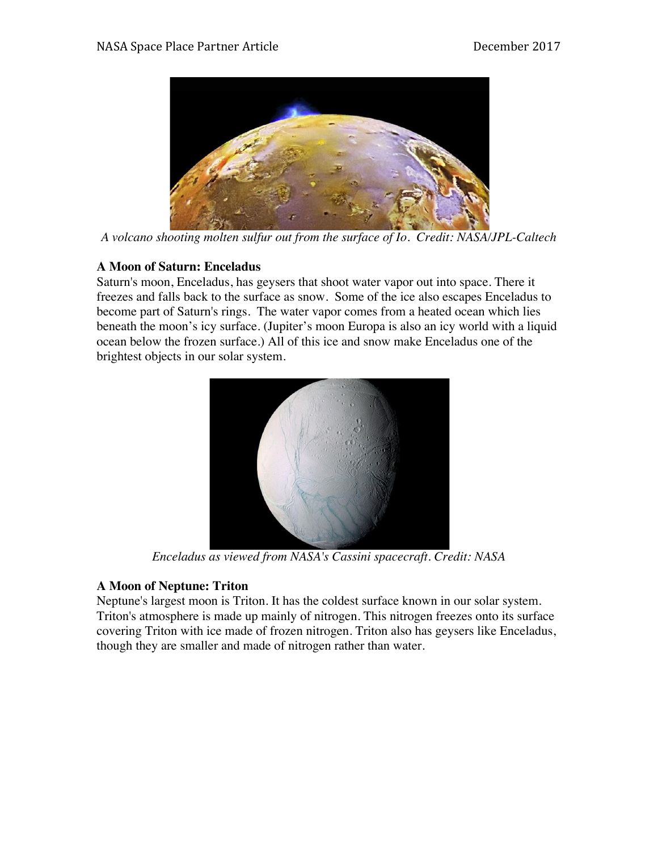

*A volcano shooting molten sulfur out from the surface of Io. Credit: NASA/JPL-Caltech*

## **A Moon of Saturn: Enceladus**

Saturn's moon, Enceladus, has geysers that shoot water vapor out into space. There it freezes and falls back to the surface as snow. Some of the ice also escapes Enceladus to become part of Saturn's rings. The water vapor comes from a heated ocean which lies beneath the moon's icy surface. (Jupiter's moon Europa is also an icy world with a liquid ocean below the frozen surface.) All of this ice and snow make Enceladus one of the brightest objects in our solar system.



*Enceladus as viewed from NASA's Cassini spacecraft. Credit: NASA*

# **A Moon of Neptune: Triton**

Neptune's largest moon is Triton. It has the coldest surface known in our solar system. Triton's atmosphere is made up mainly of nitrogen. This nitrogen freezes onto its surface covering Triton with ice made of frozen nitrogen. Triton also has geysers like Enceladus, though they are smaller and made of nitrogen rather than water.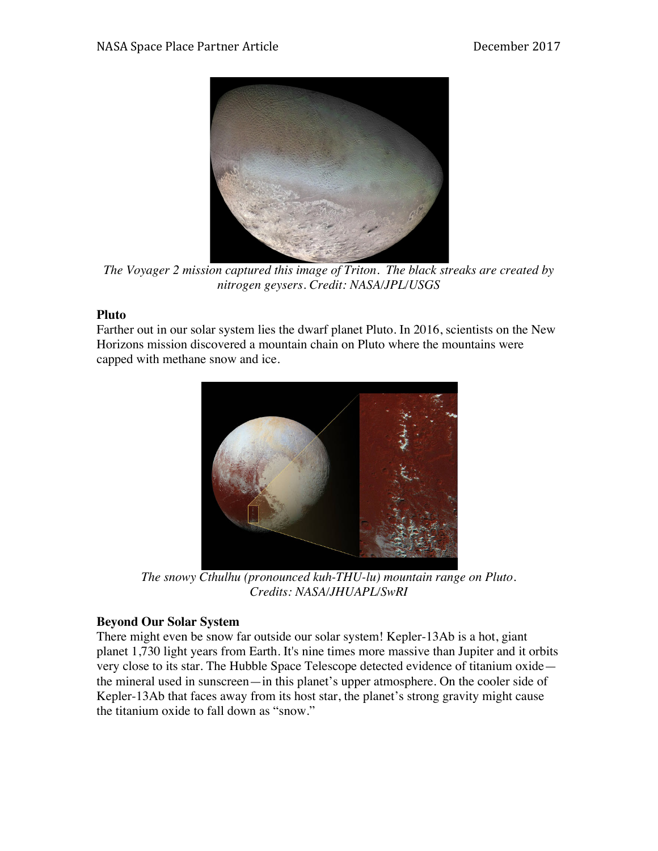

*The Voyager 2 mission captured this image of Triton. The black streaks are created by nitrogen geysers. Credit: NASA/JPL/USGS*

### **Pluto**

Farther out in our solar system lies the dwarf planet Pluto. In 2016, scientists on the New Horizons mission discovered a mountain chain on Pluto where the mountains were capped with methane snow and ice.



*The snowy Cthulhu (pronounced kuh-THU-lu) mountain range on Pluto. Credits: NASA/JHUAPL/SwRI*

### **Beyond Our Solar System**

There might even be snow far outside our solar system! Kepler-13Ab is a hot, giant planet 1,730 light years from Earth. It's nine times more massive than Jupiter and it orbits very close to its star. The Hubble Space Telescope detected evidence of titanium oxide the mineral used in sunscreen—in this planet's upper atmosphere. On the cooler side of Kepler-13Ab that faces away from its host star, the planet's strong gravity might cause the titanium oxide to fall down as "snow."